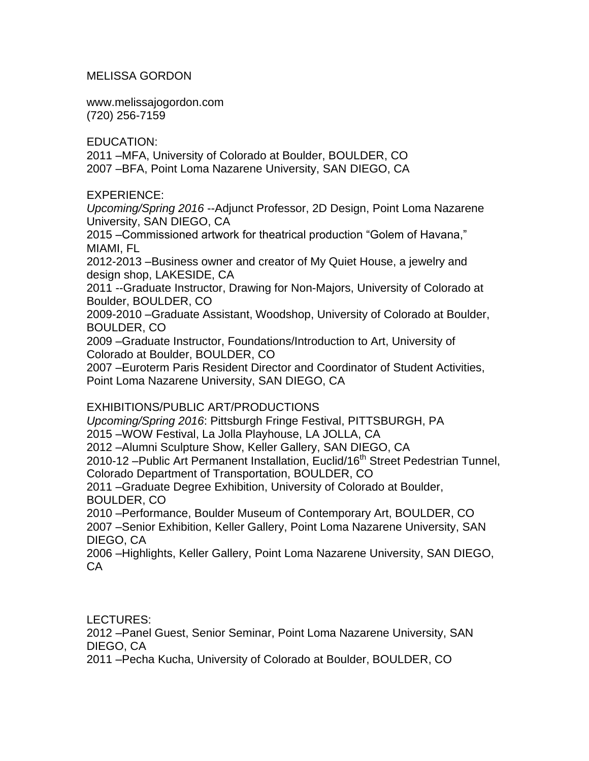## MELISSA GORDON

www.melissajogordon.com (720) [256-7159](http://www.melissajogordon.com/)

EDUCATION:

2011 –MFA, University of Colorado at Boulder, BOULDER, CO 2007 –BFA, Point Loma Nazarene University, SAN DIEGO, CA

EXPERIENCE:

*Upcoming/Spring 2016* --Adjunct Professor, 2D Design, Point Loma Nazarene University, SAN DIEGO, CA

2015 –Commissioned artwork for theatrical production "Golem of Havana," MIAMI, FL

2012-2013 –Business owner and creator of My Quiet House, a jewelry and design shop, LAKESIDE, CA

2011 --Graduate Instructor, Drawing for Non-Majors, University of Colorado at Boulder, BOULDER, CO

2009-2010 –Graduate Assistant, Woodshop, University of Colorado at Boulder, BOULDER, CO

2009 –Graduate Instructor, Foundations/Introduction to Art, University of Colorado at Boulder, BOULDER, CO

2007 –Euroterm Paris Resident Director and Coordinator of Student Activities, Point Loma Nazarene University, SAN DIEGO, CA

## EXHIBITIONS/PUBLIC ART/PRODUCTIONS

*Upcoming/Spring 2016*: Pittsburgh Fringe Festival, PITTSBURGH, PA

2015 –WOW Festival, La Jolla Playhouse, LA JOLLA, CA

2012 –Alumni Sculpture Show, Keller Gallery, SAN DIEGO, CA

2010-12 –Public Art Permanent Installation, Euclid/16<sup>th</sup> Street Pedestrian Tunnel, Colorado Department of Transportation, BOULDER, CO

2011 –Graduate Degree Exhibition, University of Colorado at Boulder, BOULDER, CO

2010 –Performance, Boulder Museum of Contemporary Art, BOULDER, CO 2007 –Senior Exhibition, Keller Gallery, Point Loma Nazarene University, SAN DIEGO, CA

2006 –Highlights, Keller Gallery, Point Loma Nazarene University, SAN DIEGO, CA

LECTURES:

2012 –Panel Guest, Senior Seminar, Point Loma Nazarene University, SAN DIEGO, CA

2011 –Pecha Kucha, University of Colorado at Boulder, BOULDER, CO